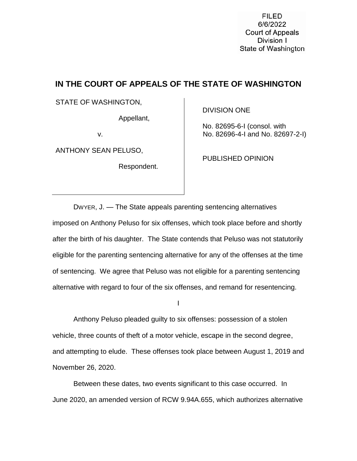**FILED** 6/6/2022 **Court of Appeals** Division I State of Washington

## **IN THE COURT OF APPEALS OF THE STATE OF WASHINGTON**

STATE OF WASHINGTON,

Appellant,

v.

ANTHONY SEAN PELUSO,

Respondent.

DIVISION ONE

No. 82695-6-I (consol. with No. 82696-4-I and No. 82697-2-I)

PUBLISHED OPINION

DWYER, J. — The State appeals parenting sentencing alternatives imposed on Anthony Peluso for six offenses, which took place before and shortly after the birth of his daughter. The State contends that Peluso was not statutorily eligible for the parenting sentencing alternative for any of the offenses at the time of sentencing. We agree that Peluso was not eligible for a parenting sentencing alternative with regard to four of the six offenses, and remand for resentencing.

I

Anthony Peluso pleaded guilty to six offenses: possession of a stolen vehicle, three counts of theft of a motor vehicle, escape in the second degree, and attempting to elude. These offenses took place between August 1, 2019 and November 26, 2020.

Between these dates, two events significant to this case occurred. In June 2020, an amended version of RCW 9.94A.655, which authorizes alternative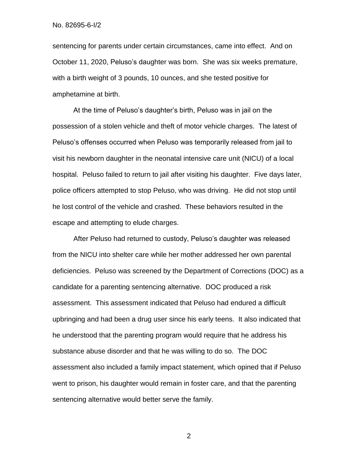sentencing for parents under certain circumstances, came into effect. And on October 11, 2020, Peluso's daughter was born. She was six weeks premature, with a birth weight of 3 pounds, 10 ounces, and she tested positive for amphetamine at birth.

At the time of Peluso's daughter's birth, Peluso was in jail on the possession of a stolen vehicle and theft of motor vehicle charges. The latest of Peluso's offenses occurred when Peluso was temporarily released from jail to visit his newborn daughter in the neonatal intensive care unit (NICU) of a local hospital. Peluso failed to return to jail after visiting his daughter. Five days later, police officers attempted to stop Peluso, who was driving. He did not stop until he lost control of the vehicle and crashed. These behaviors resulted in the escape and attempting to elude charges.

After Peluso had returned to custody, Peluso's daughter was released from the NICU into shelter care while her mother addressed her own parental deficiencies. Peluso was screened by the Department of Corrections (DOC) as a candidate for a parenting sentencing alternative. DOC produced a risk assessment. This assessment indicated that Peluso had endured a difficult upbringing and had been a drug user since his early teens. It also indicated that he understood that the parenting program would require that he address his substance abuse disorder and that he was willing to do so. The DOC assessment also included a family impact statement, which opined that if Peluso went to prison, his daughter would remain in foster care, and that the parenting sentencing alternative would better serve the family.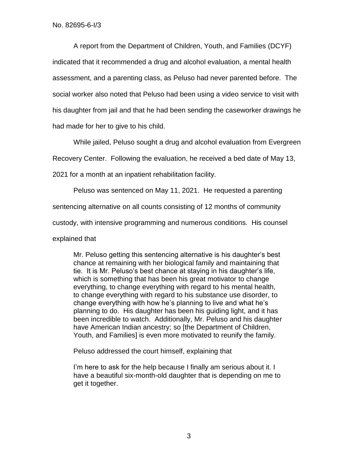A report from the Department of Children, Youth, and Families (DCYF) indicated that it recommended a drug and alcohol evaluation, a mental health assessment, and a parenting class, as Peluso had never parented before. The social worker also noted that Peluso had been using a video service to visit with his daughter from jail and that he had been sending the caseworker drawings he had made for her to give to his child.

While jailed, Peluso sought a drug and alcohol evaluation from Evergreen

Recovery Center. Following the evaluation, he received a bed date of May 13,

2021 for a month at an inpatient rehabilitation facility.

Peluso was sentenced on May 11, 2021. He requested a parenting

sentencing alternative on all counts consisting of 12 months of community

custody, with intensive programming and numerous conditions. His counsel

explained that

Mr. Peluso getting this sentencing alternative is his daughter's best chance at remaining with her biological family and maintaining that tie. It is Mr. Peluso's best chance at staying in his daughter's life, which is something that has been his great motivator to change everything, to change everything with regard to his mental health, to change everything with regard to his substance use disorder, to change everything with how he's planning to live and what he's planning to do. His daughter has been his guiding light, and it has been incredible to watch. Additionally, Mr. Peluso and his daughter have American Indian ancestry; so Ithe Department of Children, Youth, and Families] is even more motivated to reunify the family.

Peluso addressed the court himself, explaining that

I'm here to ask for the help because I finally am serious about it. I have a beautiful six-month-old daughter that is depending on me to get it together.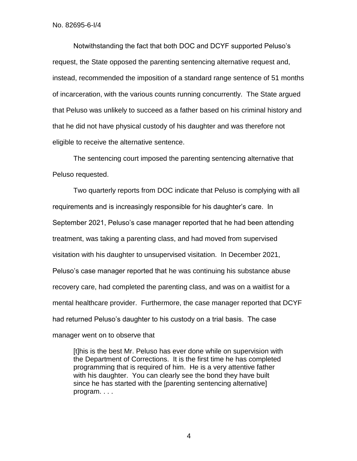Notwithstanding the fact that both DOC and DCYF supported Peluso's request, the State opposed the parenting sentencing alternative request and, instead, recommended the imposition of a standard range sentence of 51 months of incarceration, with the various counts running concurrently. The State argued that Peluso was unlikely to succeed as a father based on his criminal history and that he did not have physical custody of his daughter and was therefore not eligible to receive the alternative sentence.

The sentencing court imposed the parenting sentencing alternative that Peluso requested.

Two quarterly reports from DOC indicate that Peluso is complying with all requirements and is increasingly responsible for his daughter's care. In September 2021, Peluso's case manager reported that he had been attending treatment, was taking a parenting class, and had moved from supervised visitation with his daughter to unsupervised visitation. In December 2021, Peluso's case manager reported that he was continuing his substance abuse recovery care, had completed the parenting class, and was on a waitlist for a mental healthcare provider. Furthermore, the case manager reported that DCYF had returned Peluso's daughter to his custody on a trial basis. The case manager went on to observe that

[t]his is the best Mr. Peluso has ever done while on supervision with the Department of Corrections. It is the first time he has completed programming that is required of him. He is a very attentive father with his daughter. You can clearly see the bond they have built since he has started with the [parenting sentencing alternative] program. . . .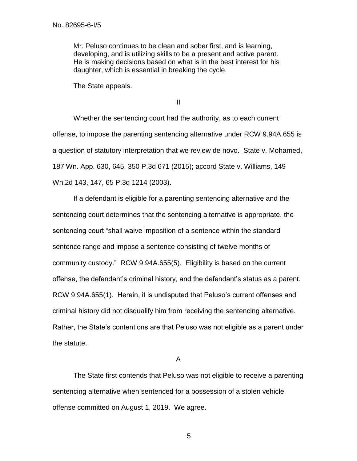Mr. Peluso continues to be clean and sober first, and is learning, developing, and is utilizing skills to be a present and active parent. He is making decisions based on what is in the best interest for his daughter, which is essential in breaking the cycle.

The State appeals.

II

Whether the sentencing court had the authority, as to each current offense, to impose the parenting sentencing alternative under RCW 9.94A.655 is a question of statutory interpretation that we review de novo. State v. Mohamed, 187 Wn. App. 630, 645, 350 P.3d 671 (2015); accord State v. Williams, 149 Wn.2d 143, 147, 65 P.3d 1214 (2003).

If a defendant is eligible for a parenting sentencing alternative and the sentencing court determines that the sentencing alternative is appropriate, the sentencing court "shall waive imposition of a sentence within the standard sentence range and impose a sentence consisting of twelve months of community custody." RCW 9.94A.655(5). Eligibility is based on the current offense, the defendant's criminal history, and the defendant's status as a parent. RCW 9.94A.655(1). Herein, it is undisputed that Peluso's current offenses and criminal history did not disqualify him from receiving the sentencing alternative. Rather, the State's contentions are that Peluso was not eligible as a parent under the statute.

A

The State first contends that Peluso was not eligible to receive a parenting sentencing alternative when sentenced for a possession of a stolen vehicle offense committed on August 1, 2019. We agree.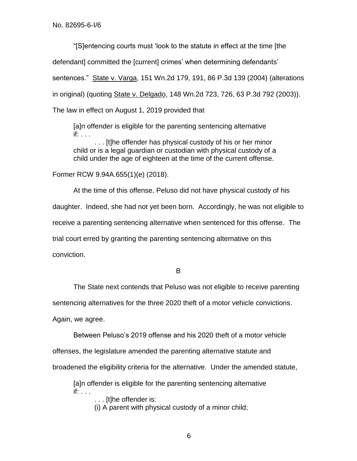"[S]entencing courts must 'look to the statute in effect at the time [the

defendant] committed the [current] crimes' when determining defendants'

sentences." State v. Varga, 151 Wn.2d 179, 191, 86 P.3d 139 (2004) (alterations in original) (quoting State v. Delgado, 148 Wn.2d 723, 726, 63 P.3d 792 (2003)).

The law in effect on August 1, 2019 provided that

[a]n offender is eligible for the parenting sentencing alternative if: . . .

. . . [t]he offender has physical custody of his or her minor child or is a legal guardian or custodian with physical custody of a child under the age of eighteen at the time of the current offense.

Former RCW 9.94A.655(1)(e) (2018).

At the time of this offense, Peluso did not have physical custody of his daughter. Indeed, she had not yet been born. Accordingly, he was not eligible to receive a parenting sentencing alternative when sentenced for this offense. The trial court erred by granting the parenting sentencing alternative on this conviction.

B

The State next contends that Peluso was not eligible to receive parenting

sentencing alternatives for the three 2020 theft of a motor vehicle convictions.

Again, we agree.

Between Peluso's 2019 offense and his 2020 theft of a motor vehicle

offenses, the legislature amended the parenting alternative statute and

broadened the eligibility criteria for the alternative. Under the amended statute,

[a]n offender is eligible for the parenting sentencing alternative if: . . .

. . . [t]he offender is:

(i) A parent with physical custody of a minor child;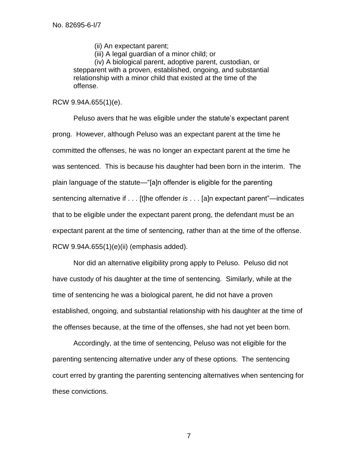(ii) An expectant parent;

(iii) A legal guardian of a minor child; or

(iv) A biological parent, adoptive parent, custodian, or stepparent with a proven, established, ongoing, and substantial relationship with a minor child that existed at the time of the offense.

## RCW 9.94A.655(1)(e).

Peluso avers that he was eligible under the statute's expectant parent prong. However, although Peluso was an expectant parent at the time he committed the offenses, he was no longer an expectant parent at the time he was sentenced. This is because his daughter had been born in the interim. The plain language of the statute—"[a]n offender is eligible for the parenting sentencing alternative if . . . [t]he offender *is* . . . [a]n expectant parent"—indicates that to be eligible under the expectant parent prong, the defendant must be an expectant parent at the time of sentencing, rather than at the time of the offense. RCW 9.94A.655(1)(e)(ii) (emphasis added).

Nor did an alternative eligibility prong apply to Peluso. Peluso did not have custody of his daughter at the time of sentencing. Similarly, while at the time of sentencing he was a biological parent, he did not have a proven established, ongoing, and substantial relationship with his daughter at the time of the offenses because, at the time of the offenses, she had not yet been born.

Accordingly, at the time of sentencing, Peluso was not eligible for the parenting sentencing alternative under any of these options. The sentencing court erred by granting the parenting sentencing alternatives when sentencing for these convictions.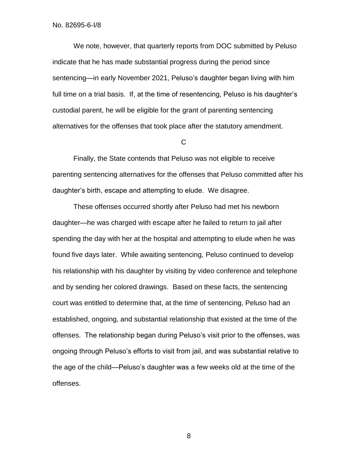No. 82695-6-I/8

We note, however, that quarterly reports from DOC submitted by Peluso indicate that he has made substantial progress during the period since sentencing—in early November 2021, Peluso's daughter began living with him full time on a trial basis. If, at the time of resentencing, Peluso is his daughter's custodial parent, he will be eligible for the grant of parenting sentencing alternatives for the offenses that took place after the statutory amendment.

C

Finally, the State contends that Peluso was not eligible to receive parenting sentencing alternatives for the offenses that Peluso committed after his daughter's birth, escape and attempting to elude. We disagree.

These offenses occurred shortly after Peluso had met his newborn daughter—he was charged with escape after he failed to return to jail after spending the day with her at the hospital and attempting to elude when he was found five days later. While awaiting sentencing, Peluso continued to develop his relationship with his daughter by visiting by video conference and telephone and by sending her colored drawings. Based on these facts, the sentencing court was entitled to determine that, at the time of sentencing, Peluso had an established, ongoing, and substantial relationship that existed at the time of the offenses. The relationship began during Peluso's visit prior to the offenses, was ongoing through Peluso's efforts to visit from jail, and was substantial relative to the age of the child—Peluso's daughter was a few weeks old at the time of the offenses.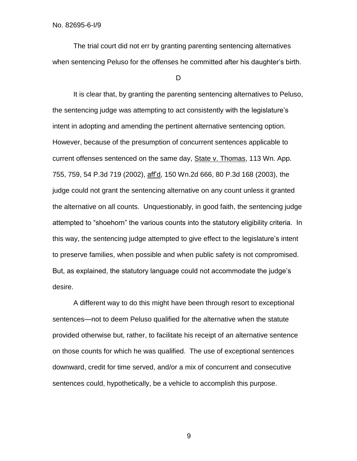No. 82695-6-I/9

The trial court did not err by granting parenting sentencing alternatives when sentencing Peluso for the offenses he committed after his daughter's birth.

D

It is clear that, by granting the parenting sentencing alternatives to Peluso, the sentencing judge was attempting to act consistently with the legislature's intent in adopting and amending the pertinent alternative sentencing option. However, because of the presumption of concurrent sentences applicable to current offenses sentenced on the same day, State v. Thomas, 113 Wn. App. 755, 759, 54 P.3d 719 (2002), aff'd, 150 Wn.2d 666, 80 P.3d 168 (2003), the judge could not grant the sentencing alternative on any count unless it granted the alternative on all counts. Unquestionably, in good faith, the sentencing judge attempted to "shoehorn" the various counts into the statutory eligibility criteria. In this way, the sentencing judge attempted to give effect to the legislature's intent to preserve families, when possible and when public safety is not compromised. But, as explained, the statutory language could not accommodate the judge's desire.

A different way to do this might have been through resort to exceptional sentences—not to deem Peluso qualified for the alternative when the statute provided otherwise but, rather, to facilitate his receipt of an alternative sentence on those counts for which he was qualified. The use of exceptional sentences downward, credit for time served, and/or a mix of concurrent and consecutive sentences could, hypothetically, be a vehicle to accomplish this purpose.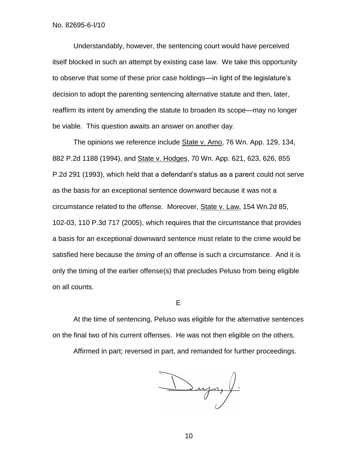Understandably, however, the sentencing court would have perceived itself blocked in such an attempt by existing case law. We take this opportunity to observe that some of these prior case holdings—in light of the legislature's decision to adopt the parenting sentencing alternative statute and then, later, reaffirm its intent by amending the statute to broaden its scope—may no longer be viable. This question awaits an answer on another day.

The opinions we reference include State v. Amo, 76 Wn. App. 129, 134, 882 P.2d 1188 (1994), and State v. Hodges, 70 Wn. App. 621, 623, 626, 855 P.2d 291 (1993), which held that a defendant's status as a parent could not serve as the basis for an exceptional sentence downward because it was not a circumstance related to the offense. Moreover, State v. Law, 154 Wn.2d 85, 102-03, 110 P.3d 717 (2005), which requires that the circumstance that provides a basis for an exceptional downward sentence must relate to the crime would be satisfied here because the *timing* of an offense is such a circumstance. And it is only the timing of the earlier offense(s) that precludes Peluso from being eligible on all counts.

E

At the time of sentencing, Peluso was eligible for the alternative sentences on the final two of his current offenses. He was not then eligible on the others.

Affirmed in part; reversed in part, and remanded for further proceedings.

Duga, J.